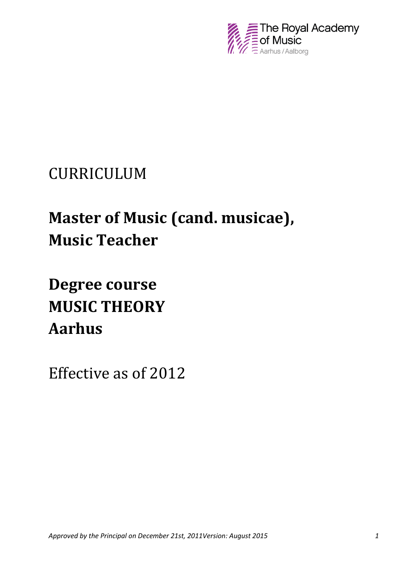

# CURRICULUM

# **Master of Music (cand. musicae), Music Teacher**

# **Degree course MUSIC THEORY Aarhus**

Effective as of 2012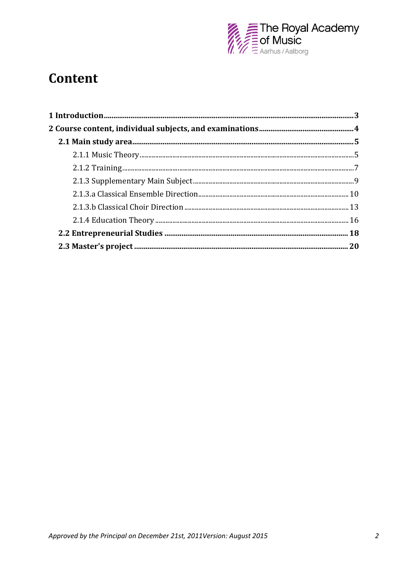

## **Content**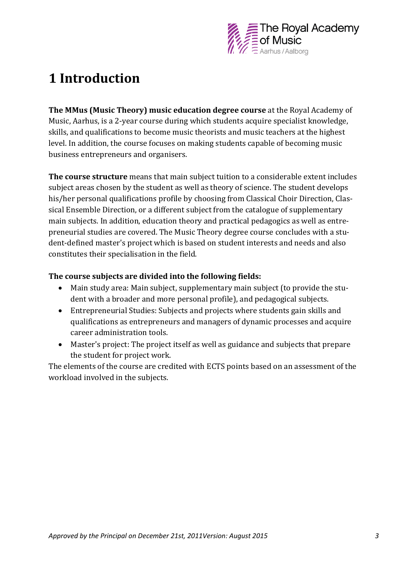

# **1 Introduction**

**The MMus (Music Theory) music education degree course** at the Royal Academy of Music, Aarhus, is a 2-year course during which students acquire specialist knowledge, skills, and qualifications to become music theorists and music teachers at the highest level. In addition, the course focuses on making students capable of becoming music business entrepreneurs and organisers.

**The course structure** means that main subject tuition to a considerable extent includes subject areas chosen by the student as well as theory of science. The student develops his/her personal qualifications profile by choosing from Classical Choir Direction, Classical Ensemble Direction, or a different subject from the catalogue of supplementary main subjects. In addition, education theory and practical pedagogics as well as entrepreneurial studies are covered. The Music Theory degree course concludes with a student-defined master's project which is based on student interests and needs and also constitutes their specialisation in the field.

#### **The course subjects are divided into the following fields:**

- Main study area: Main subject, supplementary main subject (to provide the student with a broader and more personal profile), and pedagogical subjects.
- Entrepreneurial Studies: Subjects and projects where students gain skills and qualifications as entrepreneurs and managers of dynamic processes and acquire career administration tools.
- Master's project: The project itself as well as guidance and subjects that prepare the student for project work.

The elements of the course are credited with ECTS points based on an assessment of the workload involved in the subjects.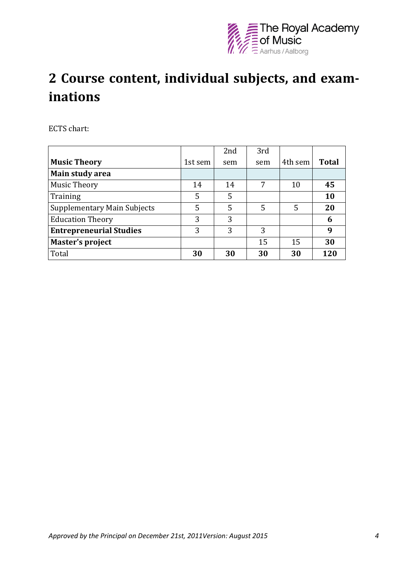

# **2 Course content, individual subjects, and examinations**

ECTS chart:

|                                    |         | 2nd | 3rd |         |              |
|------------------------------------|---------|-----|-----|---------|--------------|
| <b>Music Theory</b>                | 1st sem | sem | sem | 4th sem | <b>Total</b> |
| Main study area                    |         |     |     |         |              |
| <b>Music Theory</b>                | 14      | 14  | 7   | 10      | 45           |
| Training                           | 5       | 5   |     |         | <b>10</b>    |
| <b>Supplementary Main Subjects</b> | 5       | 5   | 5   | 5       | 20           |
| <b>Education Theory</b>            | 3       | 3   |     |         | 6            |
| <b>Entrepreneurial Studies</b>     | 3       | 3   | 3   |         | 9            |
| Master's project                   |         |     | 15  | 15      | 30           |
| Total                              | 30      | 30  | 30  | 30      | 120          |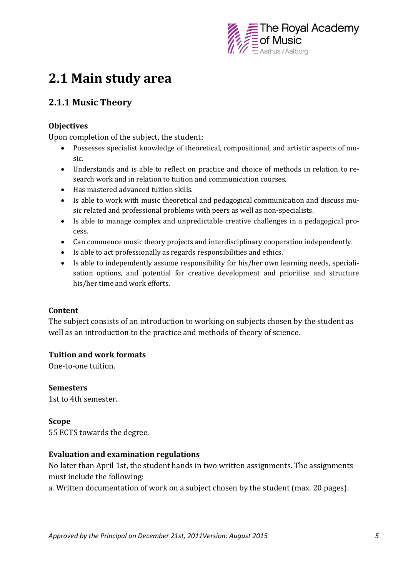

# **2.1 Main study area**

### **2.1.1 Music Theory**

#### **Objectives**

Upon completion of the subject, the student:

- Possesses specialist knowledge of theoretical, compositional, and artistic aspects of music.
- Understands and is able to reflect on practice and choice of methods in relation to research work and in relation to tuition and communication courses.
- Has mastered advanced tuition skills.
- Is able to work with music theoretical and pedagogical communication and discuss music related and professional problems with peers as well as non-specialists.
- Is able to manage complex and unpredictable creative challenges in a pedagogical process.
- Can commence music theory projects and interdisciplinary cooperation independently.
- Is able to act professionally as regards responsibilities and ethics.
- Is able to independently assume responsibility for his/her own learning needs, specialisation options, and potential for creative development and prioritise and structure his/her time and work efforts.

#### **Content**

The subject consists of an introduction to working on subjects chosen by the student as well as an introduction to the practice and methods of theory of science.

#### **Tuition and work formats**

One-to-one tuition.

**Semesters**  1st to 4th semester.

#### **Scope**

55 ECTS towards the degree.

#### **Evaluation and examination regulations**

No later than April 1st, the student hands in two written assignments. The assignments must include the following:

a. Written documentation of work on a subject chosen by the student (max. 20 pages).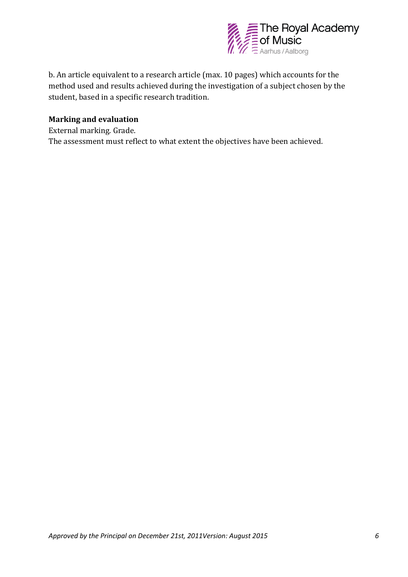

b. An article equivalent to a research article (max. 10 pages) which accounts for the method used and results achieved during the investigation of a subject chosen by the student, based in a specific research tradition.

#### **Marking and evaluation**

External marking. Grade.

The assessment must reflect to what extent the objectives have been achieved.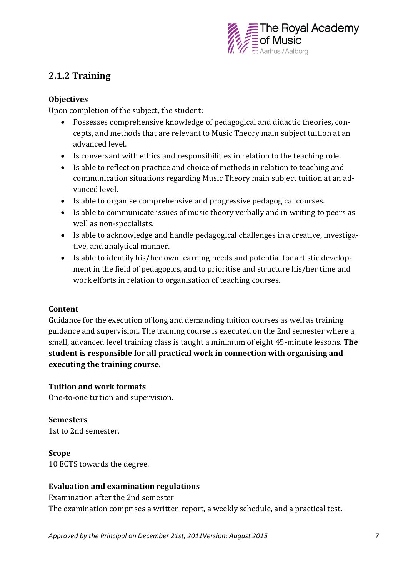

## **2.1.2 Training**

#### **Objectives**

Upon completion of the subject, the student:

- Possesses comprehensive knowledge of pedagogical and didactic theories, concepts, and methods that are relevant to Music Theory main subject tuition at an advanced level.
- Is conversant with ethics and responsibilities in relation to the teaching role.
- Is able to reflect on practice and choice of methods in relation to teaching and communication situations regarding Music Theory main subject tuition at an advanced level.
- Is able to organise comprehensive and progressive pedagogical courses.
- Is able to communicate issues of music theory verbally and in writing to peers as well as non-specialists.
- Is able to acknowledge and handle pedagogical challenges in a creative, investigative, and analytical manner.
- Is able to identify his/her own learning needs and potential for artistic development in the field of pedagogics, and to prioritise and structure his/her time and work efforts in relation to organisation of teaching courses.

#### **Content**

Guidance for the execution of long and demanding tuition courses as well as training guidance and supervision. The training course is executed on the 2nd semester where a small, advanced level training class is taught a minimum of eight 45-minute lessons. **The student is responsible for all practical work in connection with organising and executing the training course.**

#### **Tuition and work formats**

One-to-one tuition and supervision.

**Semesters**  1st to 2nd semester.

#### **Scope**

10 ECTS towards the degree.

#### **Evaluation and examination regulations**

Examination after the 2nd semester The examination comprises a written report, a weekly schedule, and a practical test.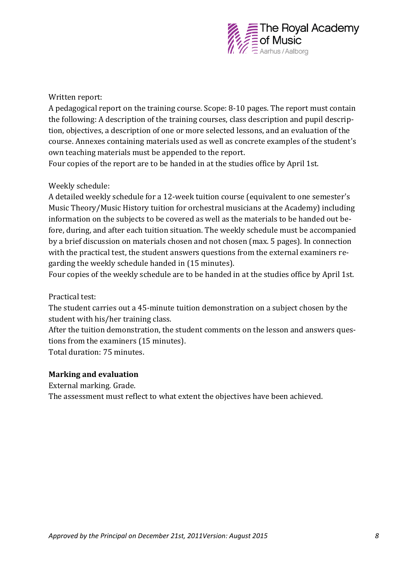

#### Written report:

A pedagogical report on the training course. Scope: 8-10 pages. The report must contain the following: A description of the training courses, class description and pupil description, objectives, a description of one or more selected lessons, and an evaluation of the course. Annexes containing materials used as well as concrete examples of the student's own teaching materials must be appended to the report.

Four copies of the report are to be handed in at the studies office by April 1st.

#### Weekly schedule:

A detailed weekly schedule for a 12-week tuition course (equivalent to one semester's Music Theory/Music History tuition for orchestral musicians at the Academy) including information on the subjects to be covered as well as the materials to be handed out before, during, and after each tuition situation. The weekly schedule must be accompanied by a brief discussion on materials chosen and not chosen (max. 5 pages). In connection with the practical test, the student answers questions from the external examiners regarding the weekly schedule handed in (15 minutes).

Four copies of the weekly schedule are to be handed in at the studies office by April 1st.

#### Practical test:

The student carries out a 45-minute tuition demonstration on a subject chosen by the student with his/her training class.

After the tuition demonstration, the student comments on the lesson and answers questions from the examiners (15 minutes).

Total duration: 75 minutes.

#### **Marking and evaluation**

External marking. Grade.

The assessment must reflect to what extent the objectives have been achieved.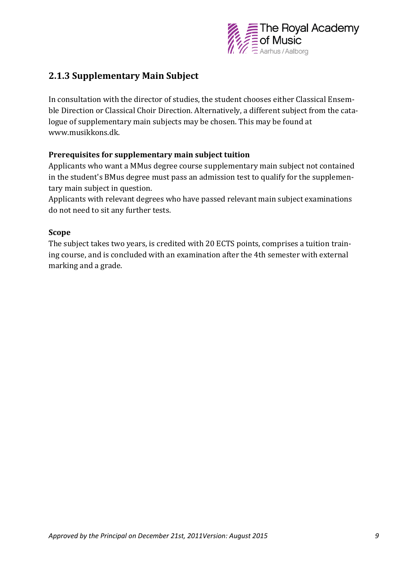

### **2.1.3 Supplementary Main Subject**

In consultation with the director of studies, the student chooses either Classical Ensemble Direction or Classical Choir Direction. Alternatively, a different subject from the catalogue of supplementary main subjects may be chosen. This may be found at www.musikkons.dk.

#### **Prerequisites for supplementary main subject tuition**

Applicants who want a MMus degree course supplementary main subject not contained in the student's BMus degree must pass an admission test to qualify for the supplementary main subject in question.

Applicants with relevant degrees who have passed relevant main subject examinations do not need to sit any further tests.

#### **Scope**

The subject takes two years, is credited with 20 ECTS points, comprises a tuition training course, and is concluded with an examination after the 4th semester with external marking and a grade.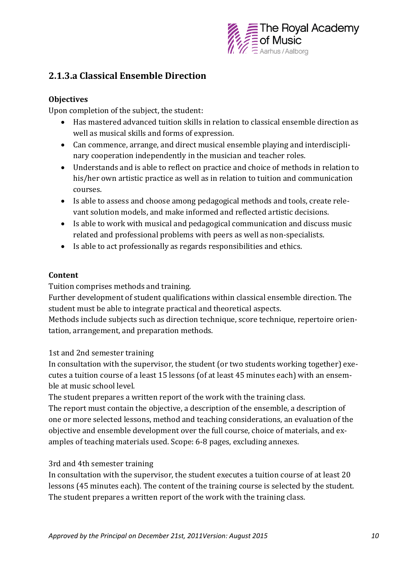

## **2.1.3.a Classical Ensemble Direction**

#### **Objectives**

Upon completion of the subject, the student:

- Has mastered advanced tuition skills in relation to classical ensemble direction as well as musical skills and forms of expression.
- Can commence, arrange, and direct musical ensemble playing and interdisciplinary cooperation independently in the musician and teacher roles.
- Understands and is able to reflect on practice and choice of methods in relation to his/her own artistic practice as well as in relation to tuition and communication courses.
- Is able to assess and choose among pedagogical methods and tools, create relevant solution models, and make informed and reflected artistic decisions.
- Is able to work with musical and pedagogical communication and discuss music related and professional problems with peers as well as non-specialists.
- Is able to act professionally as regards responsibilities and ethics.

#### **Content**

Tuition comprises methods and training.

Further development of student qualifications within classical ensemble direction. The student must be able to integrate practical and theoretical aspects.

Methods include subjects such as direction technique, score technique, repertoire orientation, arrangement, and preparation methods.

#### 1st and 2nd semester training

In consultation with the supervisor, the student (or two students working together) executes a tuition course of a least 15 lessons (of at least 45 minutes each) with an ensemble at music school level.

The student prepares a written report of the work with the training class.

The report must contain the objective, a description of the ensemble, a description of one or more selected lessons, method and teaching considerations, an evaluation of the objective and ensemble development over the full course, choice of materials, and examples of teaching materials used. Scope: 6-8 pages, excluding annexes.

#### 3rd and 4th semester training

In consultation with the supervisor, the student executes a tuition course of at least 20 lessons (45 minutes each). The content of the training course is selected by the student. The student prepares a written report of the work with the training class.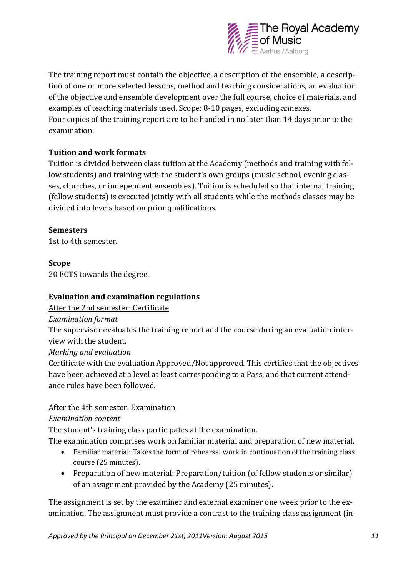

The training report must contain the objective, a description of the ensemble, a description of one or more selected lessons, method and teaching considerations, an evaluation of the objective and ensemble development over the full course, choice of materials, and examples of teaching materials used. Scope: 8-10 pages, excluding annexes. Four copies of the training report are to be handed in no later than 14 days prior to the examination.

#### **Tuition and work formats**

Tuition is divided between class tuition at the Academy (methods and training with fellow students) and training with the student's own groups (music school, evening classes, churches, or independent ensembles). Tuition is scheduled so that internal training (fellow students) is executed jointly with all students while the methods classes may be divided into levels based on prior qualifications.

#### **Semesters**

1st to 4th semester.

#### **Scope**

20 ECTS towards the degree.

#### **Evaluation and examination regulations**

#### After the 2nd semester: Certificate

*Examination format*

The supervisor evaluates the training report and the course during an evaluation interview with the student.

#### *Marking and evaluation*

Certificate with the evaluation Approved/Not approved. This certifies that the objectives have been achieved at a level at least corresponding to a Pass, and that current attendance rules have been followed.

#### After the 4th semester: Examination

*Examination content*

The student's training class participates at the examination.

The examination comprises work on familiar material and preparation of new material.

- Familiar material: Takes the form of rehearsal work in continuation of the training class course (25 minutes).
- Preparation of new material: Preparation/tuition (of fellow students or similar) of an assignment provided by the Academy (25 minutes).

The assignment is set by the examiner and external examiner one week prior to the examination. The assignment must provide a contrast to the training class assignment (in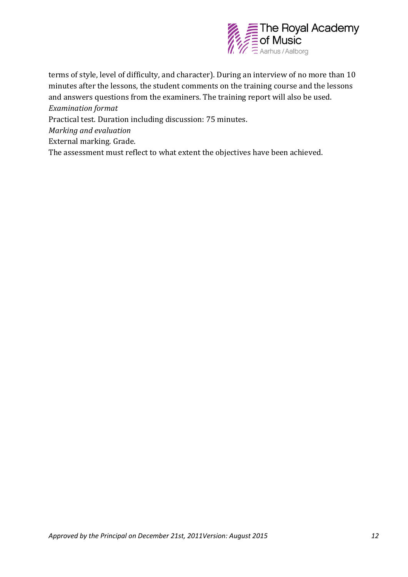

terms of style, level of difficulty, and character). During an interview of no more than 10 minutes after the lessons, the student comments on the training course and the lessons and answers questions from the examiners. The training report will also be used. *Examination format*

Practical test. Duration including discussion: 75 minutes.

*Marking and evaluation*

External marking. Grade.

The assessment must reflect to what extent the objectives have been achieved.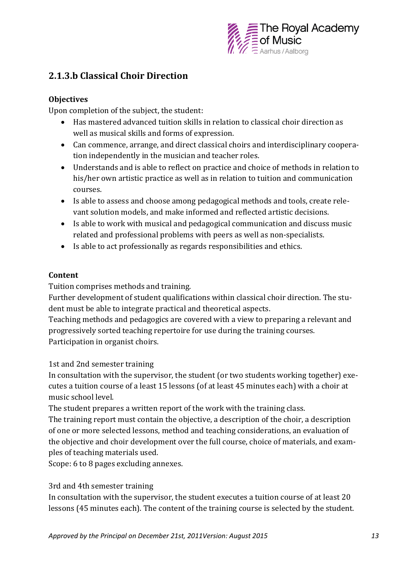

## **2.1.3.b Classical Choir Direction**

#### **Objectives**

Upon completion of the subject, the student:

- Has mastered advanced tuition skills in relation to classical choir direction as well as musical skills and forms of expression.
- Can commence, arrange, and direct classical choirs and interdisciplinary cooperation independently in the musician and teacher roles.
- Understands and is able to reflect on practice and choice of methods in relation to his/her own artistic practice as well as in relation to tuition and communication courses.
- Is able to assess and choose among pedagogical methods and tools, create relevant solution models, and make informed and reflected artistic decisions.
- Is able to work with musical and pedagogical communication and discuss music related and professional problems with peers as well as non-specialists.
- Is able to act professionally as regards responsibilities and ethics.

#### **Content**

Tuition comprises methods and training.

Further development of student qualifications within classical choir direction. The student must be able to integrate practical and theoretical aspects.

Teaching methods and pedagogics are covered with a view to preparing a relevant and progressively sorted teaching repertoire for use during the training courses. Participation in organist choirs.

1st and 2nd semester training

In consultation with the supervisor, the student (or two students working together) executes a tuition course of a least 15 lessons (of at least 45 minutes each) with a choir at music school level.

The student prepares a written report of the work with the training class.

The training report must contain the objective, a description of the choir, a description of one or more selected lessons, method and teaching considerations, an evaluation of the objective and choir development over the full course, choice of materials, and examples of teaching materials used.

Scope: 6 to 8 pages excluding annexes.

#### 3rd and 4th semester training

In consultation with the supervisor, the student executes a tuition course of at least 20 lessons (45 minutes each). The content of the training course is selected by the student.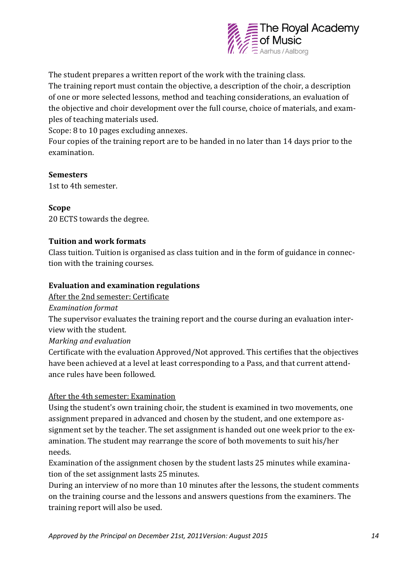

The student prepares a written report of the work with the training class.

The training report must contain the objective, a description of the choir, a description of one or more selected lessons, method and teaching considerations, an evaluation of the objective and choir development over the full course, choice of materials, and examples of teaching materials used.

Scope: 8 to 10 pages excluding annexes.

Four copies of the training report are to be handed in no later than 14 days prior to the examination.

#### **Semesters**

1st to 4th semester.

#### **Scope**

20 ECTS towards the degree.

#### **Tuition and work formats**

Class tuition. Tuition is organised as class tuition and in the form of guidance in connection with the training courses.

#### **Evaluation and examination regulations**

#### After the 2nd semester: Certificate

*Examination format* 

The supervisor evaluates the training report and the course during an evaluation interview with the student.

*Marking and evaluation*

Certificate with the evaluation Approved/Not approved. This certifies that the objectives have been achieved at a level at least corresponding to a Pass, and that current attendance rules have been followed.

#### After the 4th semester: Examination

Using the student's own training choir, the student is examined in two movements, one assignment prepared in advanced and chosen by the student, and one extempore assignment set by the teacher. The set assignment is handed out one week prior to the examination. The student may rearrange the score of both movements to suit his/her needs.

Examination of the assignment chosen by the student lasts 25 minutes while examination of the set assignment lasts 25 minutes.

During an interview of no more than 10 minutes after the lessons, the student comments on the training course and the lessons and answers questions from the examiners. The training report will also be used.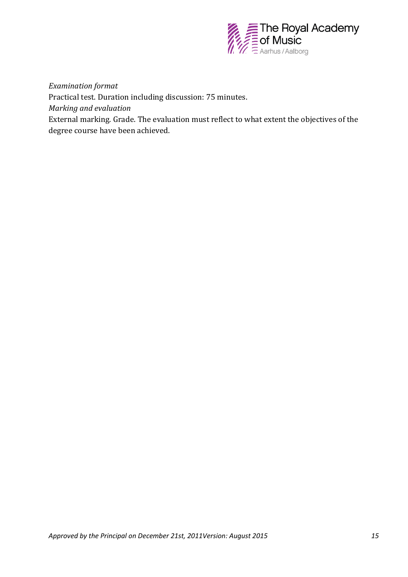

*Examination format*

Practical test. Duration including discussion: 75 minutes.

*Marking and evaluation*

External marking. Grade. The evaluation must reflect to what extent the objectives of the degree course have been achieved.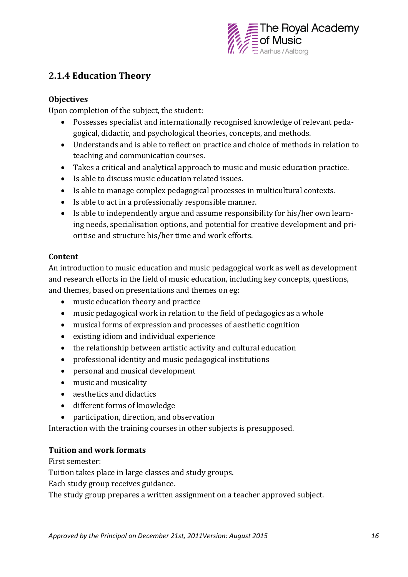

## **2.1.4 Education Theory**

#### **Objectives**

Upon completion of the subject, the student:

- Possesses specialist and internationally recognised knowledge of relevant pedagogical, didactic, and psychological theories, concepts, and methods.
- Understands and is able to reflect on practice and choice of methods in relation to teaching and communication courses.
- Takes a critical and analytical approach to music and music education practice.
- Is able to discuss music education related issues.
- Is able to manage complex pedagogical processes in multicultural contexts.
- Is able to act in a professionally responsible manner.
- Is able to independently argue and assume responsibility for his/her own learning needs, specialisation options, and potential for creative development and prioritise and structure his/her time and work efforts.

#### **Content**

An introduction to music education and music pedagogical work as well as development and research efforts in the field of music education, including key concepts, questions, and themes, based on presentations and themes on eg:

- music education theory and practice
- music pedagogical work in relation to the field of pedagogics as a whole
- musical forms of expression and processes of aesthetic cognition
- existing idiom and individual experience
- the relationship between artistic activity and cultural education
- professional identity and music pedagogical institutions
- personal and musical development
- music and musicality
- aesthetics and didactics
- different forms of knowledge
- participation, direction, and observation

Interaction with the training courses in other subjects is presupposed.

#### **Tuition and work formats**

First semester:

Tuition takes place in large classes and study groups.

Each study group receives guidance.

The study group prepares a written assignment on a teacher approved subject.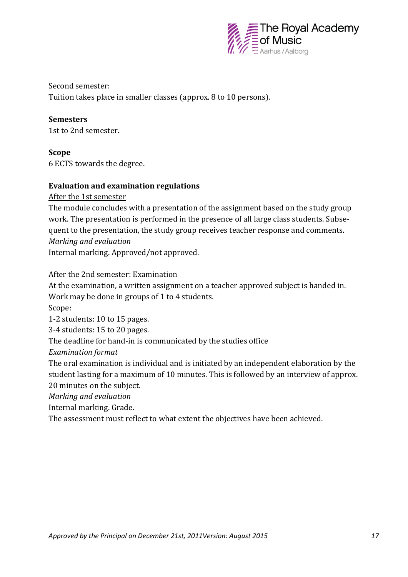

Second semester: Tuition takes place in smaller classes (approx. 8 to 10 persons).

#### **Semesters**

1st to 2nd semester.

#### **Scope**

6 ECTS towards the degree.

#### **Evaluation and examination regulations**

After the 1st semester

The module concludes with a presentation of the assignment based on the study group work. The presentation is performed in the presence of all large class students. Subsequent to the presentation, the study group receives teacher response and comments. *Marking and evaluation*

Internal marking. Approved/not approved.

#### After the 2nd semester: Examination

At the examination, a written assignment on a teacher approved subject is handed in. Work may be done in groups of 1 to 4 students.

Scope:

1-2 students: 10 to 15 pages.

3-4 students: 15 to 20 pages.

The deadline for hand-in is communicated by the studies office

#### *Examination format*

The oral examination is individual and is initiated by an independent elaboration by the student lasting for a maximum of 10 minutes. This is followed by an interview of approx. 20 minutes on the subject.

*Marking and evaluation* 

Internal marking. Grade.

The assessment must reflect to what extent the objectives have been achieved.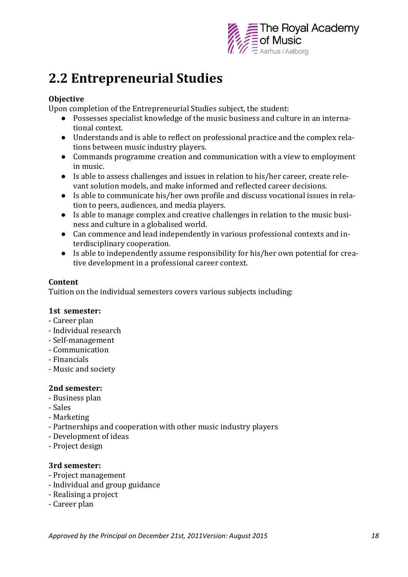

# **2.2 Entrepreneurial Studies**

#### **Objective**

Upon completion of the Entrepreneurial Studies subject, the student:

- Possesses specialist knowledge of the music business and culture in an international context.
- Understands and is able to reflect on professional practice and the complex relations between music industry players.
- Commands programme creation and communication with a view to employment in music.
- Is able to assess challenges and issues in relation to his/her career, create relevant solution models, and make informed and reflected career decisions.
- Is able to communicate his/her own profile and discuss vocational issues in relation to peers, audiences, and media players.
- Is able to manage complex and creative challenges in relation to the music business and culture in a globalised world.
- Can commence and lead independently in various professional contexts and interdisciplinary cooperation.
- Is able to independently assume responsibility for his/her own potential for creative development in a professional career context.

#### **Content**

Tuition on the individual semesters covers various subjects including:

#### **1st semester:**

- Career plan
- Individual research
- Self-management
- Communication
- Financials
- Music and society

#### **2nd semester:**

- Business plan
- Sales
- Marketing
- Partnerships and cooperation with other music industry players
- Development of ideas
- Project design

#### **3rd semester:**

- Project management
- Individual and group guidance
- Realising a project
- Career plan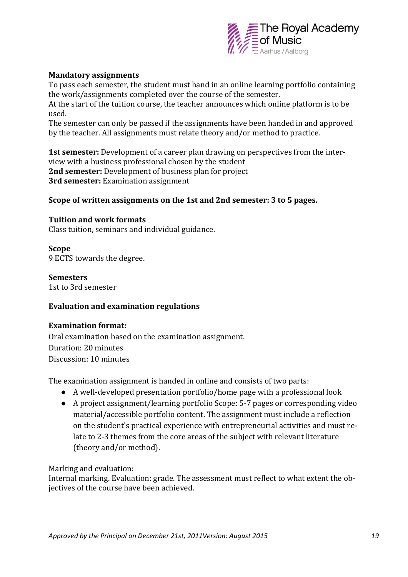

#### **Mandatory assignments**

To pass each semester, the student must hand in an online learning portfolio containing the work/assignments completed over the course of the semester.

At the start of the tuition course, the teacher announces which online platform is to be used.

The semester can only be passed if the assignments have been handed in and approved by the teacher. All assignments must relate theory and/or method to practice.

**1st semester:** Development of a career plan drawing on perspectives from the interview with a business professional chosen by the student **2nd semester:** Development of business plan for project **3rd semester:** Examination assignment

#### **Scope of written assignments on the 1st and 2nd semester: 3 to 5 pages.**

#### **Tuition and work formats**

Class tuition, seminars and individual guidance.

#### **Scope**

9 ECTS towards the degree.

#### **Semesters**

1st to 3rd semester

#### **Evaluation and examination regulations**

#### **Examination format:**

Oral examination based on the examination assignment. Duration: 20 minutes Discussion: 10 minutes

The examination assignment is handed in online and consists of two parts:

- A well-developed presentation portfolio/home page with a professional look
- A project assignment/learning portfolio Scope: 5-7 pages or corresponding video material/accessible portfolio content. The assignment must include a reflection on the student's practical experience with entrepreneurial activities and must relate to 2-3 themes from the core areas of the subject with relevant literature (theory and/or method).

#### Marking and evaluation:

Internal marking. Evaluation: grade. The assessment must reflect to what extent the objectives of the course have been achieved.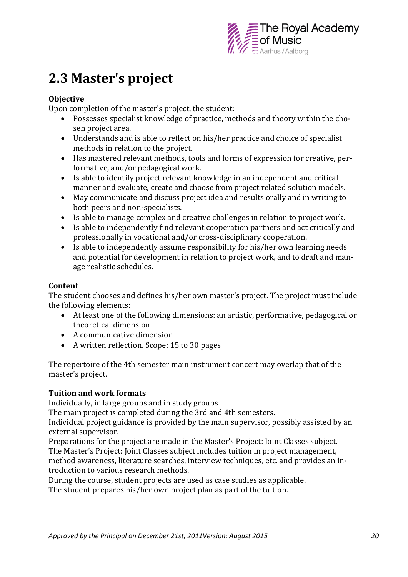

# **2.3 Master's project**

#### **Objective**

Upon completion of the master's project, the student:

- Possesses specialist knowledge of practice, methods and theory within the chosen project area.
- Understands and is able to reflect on his/her practice and choice of specialist methods in relation to the project.
- Has mastered relevant methods, tools and forms of expression for creative, performative, and/or pedagogical work.
- Is able to identify project relevant knowledge in an independent and critical manner and evaluate, create and choose from project related solution models.
- May communicate and discuss project idea and results orally and in writing to both peers and non-specialists.
- Is able to manage complex and creative challenges in relation to project work.
- Is able to independently find relevant cooperation partners and act critically and professionally in vocational and/or cross-disciplinary cooperation.
- Is able to independently assume responsibility for his/her own learning needs and potential for development in relation to project work, and to draft and manage realistic schedules.

#### **Content**

The student chooses and defines his/her own master's project. The project must include the following elements:

- At least one of the following dimensions: an artistic, performative, pedagogical or theoretical dimension
- A communicative dimension
- A written reflection. Scope: 15 to 30 pages

The repertoire of the 4th semester main instrument concert may overlap that of the master's project.

#### **Tuition and work formats**

Individually, in large groups and in study groups

The main project is completed during the 3rd and 4th semesters.

Individual project guidance is provided by the main supervisor, possibly assisted by an external supervisor.

Preparations for the project are made in the Master's Project: Joint Classes subject. The Master's Project: Joint Classes subject includes tuition in project management, method awareness, literature searches, interview techniques, etc. and provides an introduction to various research methods.

During the course, student projects are used as case studies as applicable. The student prepares his/her own project plan as part of the tuition.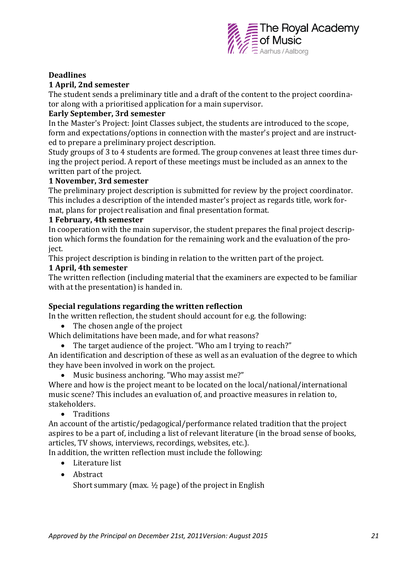

#### **Deadlines**

#### **1 April, 2nd semester**

The student sends a preliminary title and a draft of the content to the project coordinator along with a prioritised application for a main supervisor.

#### **Early September, 3rd semester**

In the Master's Project: Joint Classes subject, the students are introduced to the scope, form and expectations/options in connection with the master's project and are instructed to prepare a preliminary project description.

Study groups of 3 to 4 students are formed. The group convenes at least three times during the project period. A report of these meetings must be included as an annex to the written part of the project.

#### **1 November, 3rd semester**

The preliminary project description is submitted for review by the project coordinator. This includes a description of the intended master's project as regards title, work format, plans for project realisation and final presentation format.

#### **1 February, 4th semester**

In cooperation with the main supervisor, the student prepares the final project description which forms the foundation for the remaining work and the evaluation of the project.

This project description is binding in relation to the written part of the project.

#### **1 April, 4th semester**

The written reflection (including material that the examiners are expected to be familiar with at the presentation) is handed in.

#### **Special regulations regarding the written reflection**

In the written reflection, the student should account for e.g. the following:

- The chosen angle of the project
- Which delimitations have been made, and for what reasons?

• The target audience of the project. "Who am I trying to reach?"

An identification and description of these as well as an evaluation of the degree to which they have been involved in work on the project.

Music business anchoring. "Who may assist me?"

Where and how is the project meant to be located on the local/national/international music scene? This includes an evaluation of, and proactive measures in relation to, stakeholders.

**•** Traditions

An account of the artistic/pedagogical/performance related tradition that the project aspires to be a part of, including a list of relevant literature (in the broad sense of books, articles, TV shows, interviews, recordings, websites, etc.).

In addition, the written reflection must include the following:

- Literature list
- Abstract

Short summary (max. ½ page) of the project in English